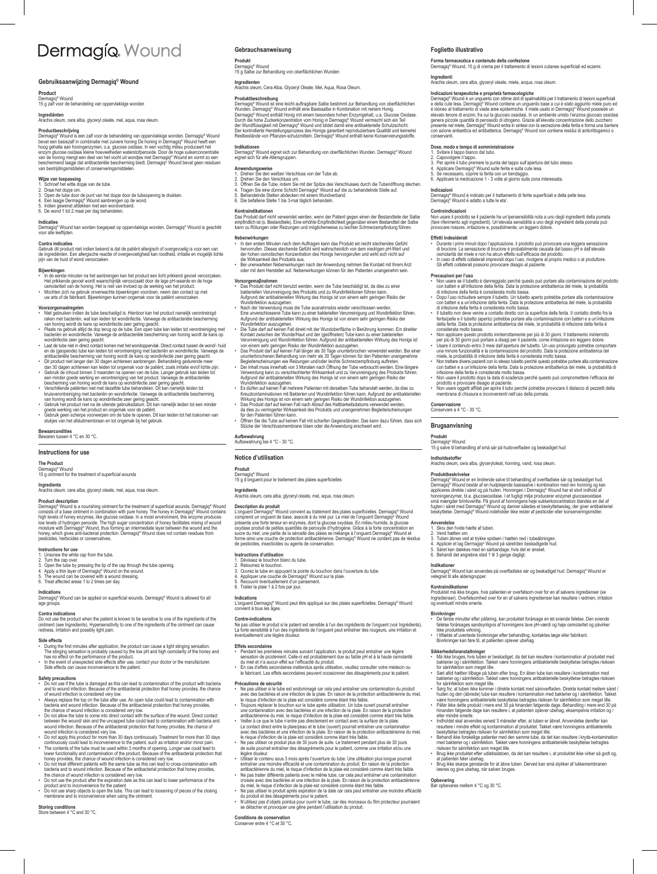# Dermagío Wound

### **Gebruiksaanwijzing Dermagiq® Wound**

### **Product**

Dermagiq® Wound 15 g zalf voor de behandeling van oppervlakkige wonden

**Ingrediënten** Arachis oleum, cera alba, glyceryl oleate, mel, aqua, rosa oleum.

**Productbeschrijving**<br>Demagné<sup>n</sup> Wound<br>beware the massizali in combination and property and property alternation. Demagnén<sup>e</sup> Wound<br>hoog gehalte aan honingenzymen, o.a. glucose oxidase. In een vochtig milieu produceert het

## **Wijze van toepassing** 1. Schroef het witte dopje van de tube.

- 
- 2. Draai het dogie om.<br>3. Open de tube door de punt van het dopje door de tubeopening te drukken.<br>4. Een laagje Dermagiq<sup>a</sup> Wound aanbrengen op de wond.<br>5. Indien gewenst afdekken met een wondverband.<br>6. De wond 1 tot 2 ma
- 

**Indicaties**<br>Dermagiq® Wound kan worden toegepast op oppervlakkige wonden. Dermagiq® Wound is geschikt<br>voor alle leeftijden.

**Contra indicaties**<br>Gebruik dit product niet indien bekend is dat de patiënt allergisch of overgevoelig is voor een van<br>de ingrediënten. Een allergische reactie of overgevoeligheid kan roodheid, irritatie en mogelijk licht

### **Bijwerkingen**

- In de eerste minuten na het aanbrengen kan het product een licht prikkend gevoel veroorzaken.<br>Het prikkende gevoel wordt waarschijnlijk veroorzaakt door de lage pH-waarde en de hoge<br>• Mochten zich na gebruik onverwachte
- 

- 
- Voorzorgsmaatregelen<br>19 voetorgsmaatregelen<br>19 voetorgsmaatregelen<br>19 raken met bacteriën, wat kan leiden tot wondinfectie. Vanwege de antibacteriële bescherming<br>19 raken met bacteriën, wat kan leiden tot wondinfectie. Van
- 
- <sup>•</sup> Laat de tube mie in direct contact komen met het wondoppevlak. Direct contact tussen de uvond-<sup>1</sup> huid product<br>and de (geoperade) tube kan leiden tot verontreininging met bacterien en wordrinderie. Vanwege de<br>a mitholo
- 
- 
- 

### **Bewaarcondities** Bewaren tussen 4 °C en 30 °C.

### **Instructions for use**

**The Product** Dermagiq® Wound 15 g ointment for the treatment of superficial wounds

**Ingredients** Arachis oleum, cera alba, glyceryl oleate, mel, aqua, rosa oleum.

Product description<br>Obmarqué escription disa nourishing ointment for the treatment of superficial wounds. Dermagiq<sup>a</sup> Wound<br>Ingh levels of a base ointment in combination with pure honey. The honey in Dermagiq<sup>a</sup> Wound cont

### **Instructions for use**

istructions for use<br>. Unscrew the white cap from the tube

- 2. Turn the cap over.<br>3. Open the tube by pressing the tip of the cap through the tube opening.<br>4. Apply a thin layer of Dermagiq<sup>a</sup> Wound on the wound.<br>5. The wound can be covered with a wound dressing.<br>6. Treat affected
- 

**Indications**<br>Dermagiq® Wound can be applied on superficial wounds. Dermagiq® Wound is allowed for all<br>age groups.

**Contra indications**<br>Do not use the product when the patient is known to be sensitive to one of the ingredients of the<br>ointment (see Ingredients). Hypersensitivity to one of the ingredients of the ointment can cause<br>rednes

- Side effects<br>• During the first minutes after application, the product can cause a light stinging sensation.<br>• The stinging sensation is probably caused by the low pH and high osmolarity of the honey and<br>• has no effect on
- 

### **Safety precautions**<br> **Conduse if the**

- Do not use if the tube is damaged as this can lead to contamination of the product with bacteria and to wound infection. Because of the antibacterial protection that honey provides, the chance
- 
- of wound infection is considered very low.<br>A Mays replace the top on the tube after use. An open tube could lead to contamination with<br>bacteria and wound infection. Because of the antibacterial protection that honey provid
- 
- 
- wound infection is considered very low.<br>
2 Do not apply this product for more than 30 days continuously. Treatment for more than 30 days<br>
continuously could lead to inconvenience to the patient, such as irritation and/or m
- 
- Do not use sharp objects to open the tube. This can lead to loosening of pieces of the closing membrane and to inconvenience when using the ointment.

### **Storing conditions** Store between 4 °C and 30 °C.

### **Gebrauchsanweisung**

**Produkt**

Dermagiq® Wound 15 g Salbe zur Behandlung von oberflächlichen Wunden

**Ingredienten** Arachis oleum, Cera Alba, Glyceryl Oleate, Mel, Aqua, Rosa Oleum.

Produktbeschreibung<br>Obernagie" Wound ist eine leicht auftragbare Salbe bestimmt zur Behandlung von oberflächlichen<br>Wunden. Dermagie" Wound enthält eine Basissalbe in Kombination mit reinem Honig.<br>Dermagie" Wound enthält H

**Foglietto illustrativo**

**Controindicazioni**

**Conservazione** Conservare a 4 °C - 30 °C. **Brugsanvisning Produkt**

**Anvendelse** 1. Skru den hvide hætte af tuben.

**Opbevaring** Bør opbevares mellem 4 °C og 30 °C.

**Forma farmaceutica e contenuto della confezione** Dermagiq® Wound, 15 g di crema per il trattamento di lesioni cutanee superficiali ed eczemi.

Indicazioni terapeutiche e proprietà farmacologiche<br>Demagiq<sup>a</sup> Wound è un unguento con offirme doti di spalmabilità per il trattamento di lesioni superficiali<br>ce della cute less. Dermagiq<sup>a</sup> Wound contiene un unguento base

Ingredienti<br>Arachis oleum, cera alba, glyceryl oleate, miele, acqua, rosa oleum Arachis oleum, cera alba, glyceryl oleate, miele, acqua, rosa oleum.

Dose, modo e tempo di aromministrazione<br>1. Svitare il tappo bianco dal tubo.<br>2. Capovolgere il tappo.<br>3. Per aprire il tubo premere la punta del tappo sull'apertura del tubo stesso.<br>4. Applicare Demagiq<sup>a</sup> Wound sulle feri

**Indicazioni**<br>Dermagiq® Wound è indicato per il trattamento di ferite superficiali e della pelle lesa.<br>Dermagiq® Wound é adatto a tutte le eta'.

Non usare il prodotto se il paziente ha un'ipersensibilità nota a uno degli ingredienti della pomata (fare riferimento agli ingredienti). Un'elevata sensibilità a uno degli ingredienti della pomata può provocare rossore, irritazione e, possibilmente, un leggero dolore.

Effetti indesiderati<br>• Durante i primi minuti dopo l'applicazione, il prodotto può provocare una leggera sensazione<br>• di bruciore. La sensazione di bruciore è probabilmente causata dal basso pH e dall'elevata<br>• In caso di

**Precauzioni per l'uso**<br> **• Non usare se il tubelt**o è danneggiato perché questo può portare alla contaminazione del prodotto<br>
con batteri e all'infezione della ferita. Data la protezione antibatterica del miele, la probab

ferita/pelle e il tubetto (aperto) potrebbe portare alla contaminazione con batteri e a un'infezione della ferita. Data la protezione antibatterica del miele, la probabilità di infezione della ferita è

considerata molto bassa.<br>
Non applicare questo prodotto ininterrottamente per più di 30 giorni. Il trattamento ininterrotto<br>
per più di 30 giorni e 11 trattamento ininterrotto<br>
per più di 30 giorni e 11 trattamento ininter

• Non usare oggetti affilati per aprire il tubo perché potrebbe provocare il distacco di pezzetti della membrana di chiusura e inconvenienti nell'uso della pomata.

**Produktbeskrivelse**<br>Dermagin<sup>e</sup> Wound er en lindrende salve til behandling af overfladiske sår og beskadiget bud.

Dermagiq<sup>®</sup> Wound erse inicidende salve til behandling af overfladiske sår og beskadiget hud.<br>Dermagiq<sup>®</sup> Wound består af en hudplejende basissalve i kombination med ren honning og kan<br>appliceres direkte i såret og på hude

**Indikationer**<br>Dermagiq® Wound kan anvendes på overfladiske sår og beskadiget hud. Dermagiq® Wound er<br>velegnet til alle aldersgrupper.

**Kontraindikationer**<br>Produktet må ikke bruges, hvis patienten er overfølsom over for en af salvens ingredienser (se<br>Ingredienser). Overfølsomhed over for en af salvens ingredienser kan resultere i rødmen, irritation<br>og eve

Bivirkninger<br>• De første minutter efter påføring, kan produktet forårsage en let sviende følelse. Den sviende<br>• følelse forårsages sandsynligvis af honningens lave pH-værdi og høje osmolaritet og påvirker<br>• I tiftælde af u

S**ikkerhedsforanstaltninger**<br>Må ikke bruges, hvis tuben er beskadiget, da det kan resultere i kontamination af produktet med<br>bakterier og i sårinfektion. Takket være honningens antibakterielle beskyttelse betragtes risikoe for sårinfektion som meget lille. • Sæt altid hætten tilbage på tuben efter brug. En åben tube kan resultere i kontamination med

bakterier og i sänirlektion. Takket være honningens antibakterielle beskyttelse betragtes risikoen<br>for sårinfektion som meget lille.<br>Sorg for, at tuben ikke kommer i direkte kontakt med såroverfladen. Direkte kontakt melle

eller mindre smerte. • Indholdet skal anvendes senest 3 måneder efter, at tuben er åbnet. Anvendelse derefter kan

at patienten føler ubehag. • Brug ikke skarpe genstande for at åbne tuben. Derved kan små stykker af lukkemembranen løsnes og give ubehag, når salven bruges.

resultere i mindre effekt og kontamination af produktet. Takket være honningens antibakterielle<br>• Behandl ikke forskellige patienter med den samme tube, da det kan resultere i kryds-kontamination<br>• Rehandl ikke forskellige

Dermagiq® Wound 15 g salve til behandling af små sår på hudoverfladen og beskadiget hud **Indholdsstoffer** Arachis oleum, cera alba, glyceryloleat, honning, vand, rosa oleum.

2. Vend hætten om.<br>3. Tuben åbnes ved at trykke spidsen i hætten ned i tubeåbningen.<br>4. Applicér et lag Dermagiq® Wound på såret/den beskadigede hud.<br>5. Såret kan dækkes med en sårbandage, hvis det er ønsket.<br>6. Behandl de

**Indikationen** Dermagiq® Wound eignet sich zur Behandlung von oberflächlichen Wunden. Dermagiq® Wound eignet sich für alle Altersgruppen.

- **Anwendungsweise**<br>1. Drehen Sie den weißen Verschluss von der Tube ab
- 
- 1. Drehen Sie den weißen Verschluss<br>2. Drehen Sie den Verschluss um.<br>3. Offnen Sie der Tube, indem Sie mit der Spitze des Verschlusses durch die Tubenöffnung stechen.<br>4. Tragen Sie eine dünne Schicht Dermagiq<sup>u</sup> Wound auf
- 

### **Kontraindikationen**

Das Produkt darf nicht verwendet werden, wenn der Patient gegen einen der Bestandteile der Salbe<br>empfindlich ist (s. Bestandteile). Eine erhöhte Empfindlichkeit gegenüber einem Bestandteil der Salbe<br>kann zu Rötungen oder R

- **Nebenwirkungen**<br>
In den ersten Minuten nach dem Auftragen kann das Produkt ein leicht stechendes Gefühl<br>
henvorrufen. Dieses stechende Gefühl wird wahrscheinlich von dem niedrigen pH-Wert und<br>
der hohen connoischen Konzen
- 

- **Vorsorgemaβnahmen** Das Produkt darf nicht benutzt werden, wenn die Tube beschädigt ist, da dies zu einer bakteriellen Verunreinigung des Produkts und zu Wundinfektionen führen kann. Aufgrund der antibakteriellen Wirkung des Honigs ist von einem sehr geringen Risiko der Wundinfektion auszugehen.
- Nach der Verwendung muss die Tube ausnahmslos wieder verschlossen werden.<br>Eine urwerschlossene Tube kann zu einer bakteriellen Verunreinigung und Wundinfektion führen.<br>Aufgrund der antibakteriellen Wirkung des Honigs ist
- 
- 
- Wundinfektion auszugehen.<br>20 Filos Tube dari auf keinen Fall direkt mit der Wundoberfläche in Berührung kommen. Ein direkter Kontakt zwischen der Wunde/Haut und der (geöffneten) Tube kann zu einer bakteriellen<br>20 Functions
- Es dürfen auf keinen Fall mehrere Patienten mit derselben Tube behandelt werden, da dies zu
- Kreuzkontaminationen mit Bakterien und Wundinfektion führen kann. Aufgrund der antibakteriellen<br>Wirkung des Honigs ist von einem sehr geringen Risiko der Wundinfektion auszugehen.<br>▪ Das Produkt darf auf keinen Fall nach A
- da dies zu verringerter Wirksamkeit des Produkts und unangenehmen Begleiterscheinungen<br>für den Patienten führen kann.<br>• Örfinen Sie die Tube auf keinen Fall mit scharfen Gegenständen. Das kann dazu führen, dass sich<br>• Stüc

### **Aufbewahrung** Aufbewahrung bei 4 °C - 30 °C.

### **Notice d'utilisation**

# **Produit**

Produit<br>Dermagiq® Wound<br>15 g d'onguent pou rvouru<br>ent nour le traitement des plaies superficielles

**Ingrédients s**<br>um, cera alba, glyceryl oleate, mel, aqua, rosa oleum

### **Description du produit**

**Indications**

L'onguent Dermagiq<sup>a</sup> Wound convient au traitement des plaies superficielles. Dermagiq<sup>ae</sup> Wound<br>comprend un onguent de base, associé à du miel pur. Le miel de l'onguent Dermagiq<sup>ae</sup> Wound<br>présente une forte teneur en enzy

L'onguent Dermagiq® Wound peut être appliqué sur des plaies superficielles. Dermagiq® Wound convient à tous les âges.

Effets secondaires<br>• Pendant les premières minutes suivant l'application, le produit peut entraîner une légère<br>• sensation de picotement. Celle-ci est probablement due au faible pH et à la haute osmolarité<br>• En cas d'effet

**Précautions de sécurité**<br> **Constantinon de Sécurité de la partie de la partie de la partie de la partie de la partie de la partie de la partie de la partie de la partie de la partie de la partie de la partie de la partie** 

légère douleur. • Utiliser le contenu sous 3 mois après l'ouverture du tube. Une utilisation plus longue pourrait entraîner une moindre efficacité et une contamination du produit. En raison de la protection antibactérienne du miel, le risque d'infection de la plaie est considéré comme étant très faible.<br>• Ne pas traiter différents patients avec le même tube, car cela peut entraîner une contamination<br>croisée avec des bactéries

• Ne pas utiliser le produit après expiration de la date car cela peut entraîner une moindre efficacité<br>du produit et des désagréments pour le patient.<br>• N'utilisez pas d'objets pointus pour ouvrir le tube, car des morceau

**Contre-indications**<br>Ne pas utiliser le produit si le patient est sensible à l'un des ingrédients de l'onguent (voir Ingrédients).<br>La forte sensibilité à l'un des ingrédients de l'onguent peut entraîner des rougeurs, une i

**Conditions de conservation** Conserver entre 4 °C et 30 °C.

Instructions d'utilisation<br>1. Dévissez le bouchon blanc du tube.<br>2. Retournez le bouchon.<br>3. Ouvrez le tube en appuyant la pointe du bouchon dans l'ouverture du tube.<br>4. Appliquer une couche de Dermagiq<sup>4</sup> Wound sur la pla